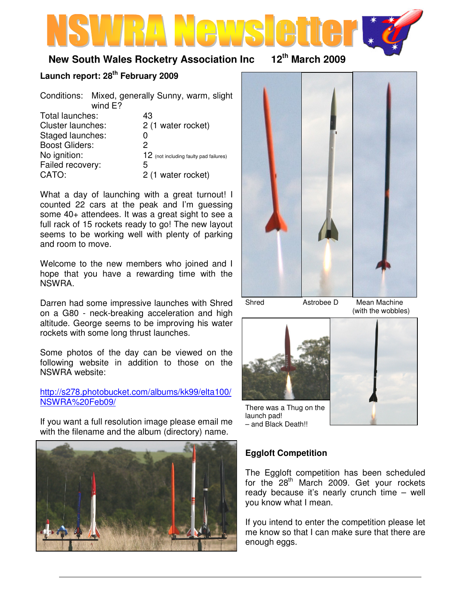# **New South Wales Rocketry Association Inc 12th March 2009**

# **Launch report: 28th February 2009**

Conditions: Mixed, generally Sunny, warm, slight wind E?

| Total launches:       | 43                                     |
|-----------------------|----------------------------------------|
| Cluster launches:     | 2 (1 water rocket)                     |
| Staged launches:      | O                                      |
| <b>Boost Gliders:</b> | 2                                      |
| No ignition:          | 12 (not including faulty pad failures) |
| Failed recovery:      | 5                                      |
| CATO:                 | 2 (1 water rocket)                     |
|                       |                                        |

What a day of launching with a great turnout! I counted 22 cars at the peak and I'm guessing some 40+ attendees. It was a great sight to see a full rack of 15 rockets ready to go! The new layout seems to be working well with plenty of parking and room to move.

Welcome to the new members who joined and I hope that you have a rewarding time with the NSWRA.

Darren had some impressive launches with Shred on a G80 - neck-breaking acceleration and high altitude. George seems to be improving his water rockets with some long thrust launches.

Some photos of the day can be viewed on the following website in addition to those on the NSWRA website:

http://s278.photobucket.com/albums/kk99/elta100/ NSWRA%20Feb09/

If you want a full resolution image please email me with the filename and the album (directory) name.





Shred Astrobee D Mean Machine (with the wobbles)



There was a Thug on the launch pad! – and Black Death!!



# **Eggloft Competition**

The Eggloft competition has been scheduled for the 28<sup>th</sup> March 2009. Get your rockets ready because it's nearly crunch time – well you know what I mean.

If you intend to enter the competition please let me know so that I can make sure that there are enough eggs.